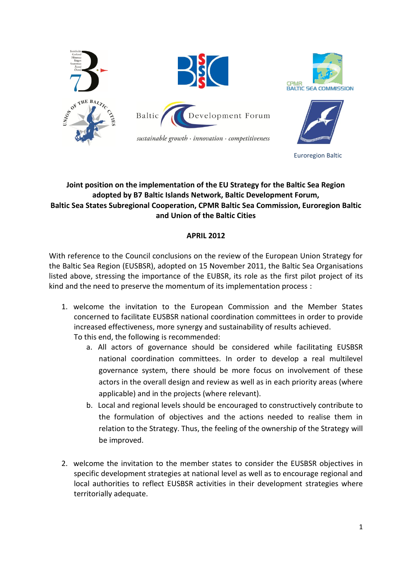

## **Joint position on the implementation of the EU Strategy for the Baltic Sea Region adopted by B7 Baltic Islands Network, Baltic Development Forum, Baltic Sea States Subregional Cooperation, CPMR Baltic Sea Commission, Euroregion Baltic and Union of the Baltic Cities**

## **APRIL 2012**

With reference to the Council conclusions on the review of the European Union Strategy for the Baltic Sea Region (EUSBSR), adopted on 15 November 2011, the Baltic Sea Organisations listed above, stressing the importance of the EUBSR, its role as the first pilot project of its kind and the need to preserve the momentum of its implementation process :

- 1. welcome the invitation to the European Commission and the Member States concerned to facilitate EUSBSR national coordination committees in order to provide increased effectiveness, more synergy and sustainability of results achieved. To this end, the following is recommended:
	- a. All actors of governance should be considered while facilitating EUSBSR national coordination committees. In order to develop a real multilevel governance system, there should be more focus on involvement of these actors in the overall design and review as well as in each priority areas (where applicable) and in the projects (where relevant).
	- b. Local and regional levels should be encouraged to constructively contribute to the formulation of objectives and the actions needed to realise them in relation to the Strategy. Thus, the feeling of the ownership of the Strategy will be improved.
- 2. welcome the invitation to the member states to consider the EUSBSR objectives in specific development strategies at national level as well as to encourage regional and local authorities to reflect EUSBSR activities in their development strategies where territorially adequate.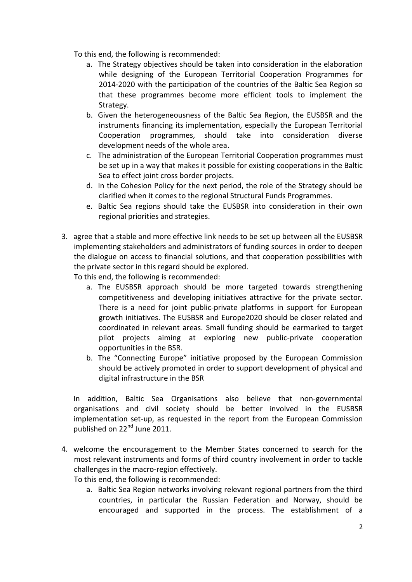To this end, the following is recommended:

- a. The Strategy objectives should be taken into consideration in the elaboration while designing of the European Territorial Cooperation Programmes for 2014-2020 with the participation of the countries of the Baltic Sea Region so that these programmes become more efficient tools to implement the Strategy.
- b. Given the heterogeneousness of the Baltic Sea Region, the EUSBSR and the instruments financing its implementation, especially the European Territorial Cooperation programmes, should take into consideration diverse development needs of the whole area.
- c. The administration of the European Territorial Cooperation programmes must be set up in a way that makes it possible for existing cooperations in the Baltic Sea to effect joint cross border projects.
- d. In the Cohesion Policy for the next period, the role of the Strategy should be clarified when it comes to the regional Structural Funds Programmes.
- e. Baltic Sea regions should take the EUSBSR into consideration in their own regional priorities and strategies.
- 3. agree that a stable and more effective link needs to be set up between all the EUSBSR implementing stakeholders and administrators of funding sources in order to deepen the dialogue on access to financial solutions, and that cooperation possibilities with the private sector in this regard should be explored.

To this end, the following is recommended:

- a. The EUSBSR approach should be more targeted towards strengthening competitiveness and developing initiatives attractive for the private sector. There is a need for joint public-private platforms in support for European growth initiatives. The EUSBSR and Europe2020 should be closer related and coordinated in relevant areas. Small funding should be earmarked to target pilot projects aiming at exploring new public-private cooperation opportunities in the BSR.
- b. The "Connecting Europe" initiative proposed by the European Commission should be actively promoted in order to support development of physical and digital infrastructure in the BSR

In addition, Baltic Sea Organisations also believe that non-governmental organisations and civil society should be better involved in the EUSBSR implementation set-up, as requested in the report from the European Commission published on 22<sup>nd</sup> June 2011.

4. welcome the encouragement to the Member States concerned to search for the most relevant instruments and forms of third country involvement in order to tackle challenges in the macro-region effectively.

To this end, the following is recommended:

a. Baltic Sea Region networks involving relevant regional partners from the third countries, in particular the Russian Federation and Norway, should be encouraged and supported in the process. The establishment of a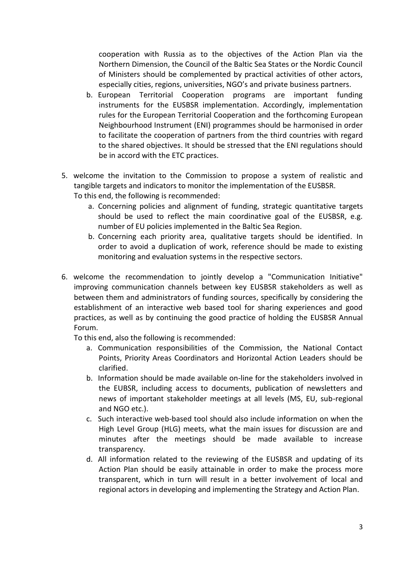cooperation with Russia as to the objectives of the Action Plan via the Northern Dimension, the Council of the Baltic Sea States or the Nordic Council of Ministers should be complemented by practical activities of other actors, especially cities, regions, universities, NGO's and private business partners.

- b. European Territorial Cooperation programs are important funding instruments for the EUSBSR implementation. Accordingly, implementation rules for the European Territorial Cooperation and the forthcoming European Neighbourhood Instrument (ENI) programmes should be harmonised in order to facilitate the cooperation of partners from the third countries with regard to the shared objectives. It should be stressed that the ENI regulations should be in accord with the ETC practices.
- 5. welcome the invitation to the Commission to propose a system of realistic and tangible targets and indicators to monitor the implementation of the EUSBSR. To this end, the following is recommended:
	- a. Concerning policies and alignment of funding, strategic quantitative targets should be used to reflect the main coordinative goal of the EUSBSR, e.g. number of EU policies implemented in the Baltic Sea Region.
	- b. Concerning each priority area, qualitative targets should be identified. In order to avoid a duplication of work, reference should be made to existing monitoring and evaluation systems in the respective sectors.
- 6. welcome the recommendation to jointly develop a "Communication Initiative" improving communication channels between key EUSBSR stakeholders as well as between them and administrators of funding sources, specifically by considering the establishment of an interactive web based tool for sharing experiences and good practices, as well as by continuing the good practice of holding the EUSBSR Annual Forum.

To this end, also the following is recommended:

- a. Communication responsibilities of the Commission, the National Contact Points, Priority Areas Coordinators and Horizontal Action Leaders should be clarified.
- b. Information should be made available on-line for the stakeholders involved in the EUBSR, including access to documents, publication of newsletters and news of important stakeholder meetings at all levels (MS, EU, sub-regional and NGO etc.).
- c. Such interactive web-based tool should also include information on when the High Level Group (HLG) meets, what the main issues for discussion are and minutes after the meetings should be made available to increase transparency.
- d. All information related to the reviewing of the EUSBSR and updating of its Action Plan should be easily attainable in order to make the process more transparent, which in turn will result in a better involvement of local and regional actors in developing and implementing the Strategy and Action Plan.